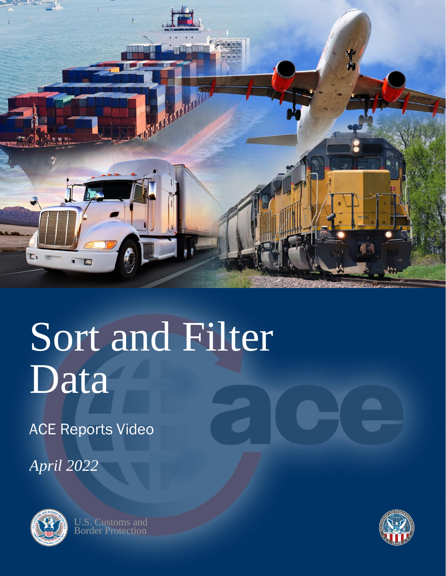

# Sort and Filter Data

ACE Reports Video

*April 2022*



U.S. Customs and **Border Protection** 

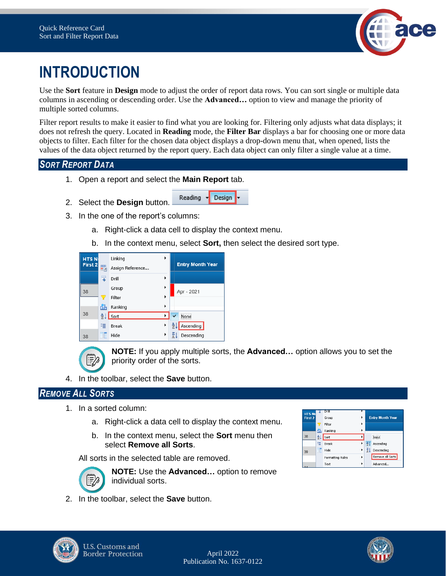

# **INTRODUCTION**

Use the **Sort** feature in **Design** mode to adjust the order of report data rows. You can sort single or multiple data columns in ascending or descending order. Use the **Advanced…** option to view and manage the priority of multiple sorted columns.

Filter report results to make it easier to find what you are looking for. Filtering only adjusts what data displays; it does not refresh the query. Located in **Reading** mode, the **Filter Bar** displays a bar for choosing one or more data objects to filter. Each filter for the chosen data object displays a drop-down menu that, when opened, lists the values of the data object returned by the report query. Each data object can only filter a single value at a time.

## *SORT REPORT DATA*

- 1. Open a report and select the **Main Report** tab.
- 2. Select the **Design** button.
- 3. In the one of the report's columns:
	- a. Right-click a data cell to display the context menu.

Reading

b. In the context menu, select **Sort,** then select the desired sort type.

 $\mathbf{P}$  Design

| <b>HTSN</b><br>First 2 | 羁  | Linking<br>▶<br>Assign Reference | <b>Entry Month Year</b> |
|------------------------|----|----------------------------------|-------------------------|
|                        | 甩  | ١<br>Drill                       |                         |
| 38                     |    | ٠<br>Group                       | Apr - 2021              |
|                        |    | ١<br>Filter                      |                         |
|                        | đ. | ٠<br>Ranking                     |                         |
| 38                     | ₹Ť | ۰<br>Sort                        | None<br>$\checkmark$    |
|                        | 唱  | ١<br><b>Break</b>                | Ascending<br>쓮          |
| 38                     |    | ١<br>Hide                        | Descending              |



౹₹∕

**NOTE:** If you apply multiple sorts, the **Advanced…** option allows you to set the priority order of the sorts.

4. In the toolbar, select the **Save** button.

#### *REMOVE ALL SORTS*

- 1. In a sorted column:
	- a. Right-click a data cell to display the context menu.
	- b. In the context menu, select the **Sort** menu then select **Remove all Sorts**.

All sorts in the selected table are removed.



**NOTE:** Use the **Advanced…** option to remove individual sorts.

2. In the toolbar, select the **Save** button.